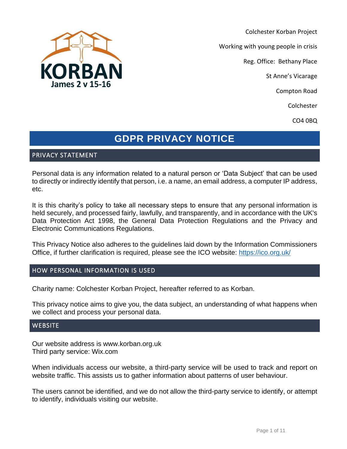

Colchester Korban Project

Working with young people in crisis

Reg. Office: Bethany Place

St Anne's Vicarage

Compton Road

Colchester

CO4 0BQ

# **GDPR PRIVACY NOTICE**

# PRIVACY STATEMENT

Personal data is any information related to a natural person or 'Data Subject' that can be used to directly or indirectly identify that person, i.e. a name, an email address, a computer IP address, etc.

It is this charity's policy to take all necessary steps to ensure that any personal information is held securely, and processed fairly, lawfully, and transparently, and in accordance with the UK's Data Protection Act 1998, the General Data Protection Regulations and the Privacy and Electronic Communications Regulations.

This Privacy Notice also adheres to the guidelines laid down by the Information Commissioners Office, if further clarification is required, please see the ICO website: [https://ico.org.uk/](https://ico.org.uk/concerns/handling/)

# HOW PERSONAL INFORMATION IS USED

Charity name: Colchester Korban Project, hereafter referred to as Korban.

This privacy notice aims to give you, the data subject, an understanding of what happens when we collect and process your personal data.

# **WEBSITE**

Our website address is www.korban.org.uk Third party service: Wix.com

When individuals access our website, a third-party service will be used to track and report on website traffic. This assists us to gather information about patterns of user behaviour.

The users cannot be identified, and we do not allow the third-party service to identify, or attempt to identify, individuals visiting our website.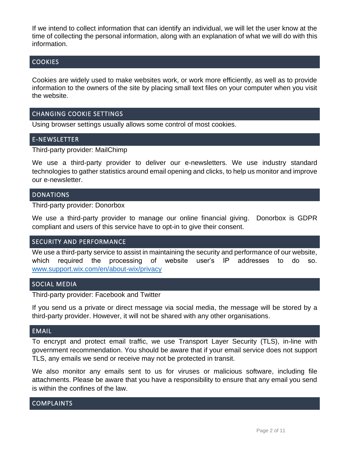If we intend to collect information that can identify an individual, we will let the user know at the time of collecting the personal information, along with an explanation of what we will do with this information.

# **COOKIES**

Cookies are widely used to make websites work, or work more efficiently, as well as to provide information to the owners of the site by placing small text files on your computer when you visit the website.

# CHANGING COOKIE SETTINGS

Using browser settings usually allows some control of most cookies.

# E-NEWSLETTER

Third-party provider: MailChimp

We use a third-party provider to deliver our e-newsletters. We use industry standard technologies to gather statistics around email opening and clicks, to help us monitor and improve our e-newsletter.

#### DONATIONS

Third-party provider: Donorbox

We use a third-party provider to manage our online financial giving. Donorbox is GDPR compliant and users of this service have to opt-in to give their consent.

#### SECURITY AND PERFORMANCE

We use a third-party service to assist in maintaining the security and performance of our website, which required the processing of website user's IP addresses to do so. [www.support.wix.com/en/about-wix/privacy](http://www.support.wix.com/en/about-wix/privacy)

# SOCIAL MEDIA

Third-party provider: Facebook and Twitter

If you send us a private or direct message via social media, the message will be stored by a third-party provider. However, it will not be shared with any other organisations.

### EMAIL

To encrypt and protect email traffic, we use Transport Layer Security (TLS), in-line with government recommendation. You should be aware that if your email service does not support TLS, any emails we send or receive may not be protected in transit.

We also monitor any emails sent to us for viruses or malicious software, including file attachments. Please be aware that you have a responsibility to ensure that any email you send is within the confines of the law.

# COMPLAINTS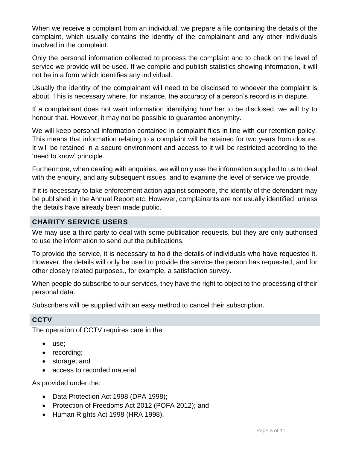When we receive a complaint from an individual, we prepare a file containing the details of the complaint, which usually contains the identity of the complainant and any other individuals involved in the complaint.

Only the personal information collected to process the complaint and to check on the level of service we provide will be used. If we compile and publish statistics showing information, it will not be in a form which identifies any individual.

Usually the identity of the complainant will need to be disclosed to whoever the complaint is about. This is necessary where, for instance, the accuracy of a person's record is in dispute.

If a complainant does not want information identifying him/ her to be disclosed, we will try to honour that. However, it may not be possible to guarantee anonymity.

We will keep personal information contained in complaint files in line with our retention policy. This means that information relating to a complaint will be retained for two years from closure. It will be retained in a secure environment and access to it will be restricted according to the 'need to know' principle.

Furthermore, when dealing with enquiries, we will only use the information supplied to us to deal with the enquiry, and any subsequent issues, and to examine the level of service we provide.

If it is necessary to take enforcement action against someone, the identity of the defendant may be published in the Annual Report etc. However, complainants are not usually identified, unless the details have already been made public.

# **CHARITY SERVICE USERS**

We may use a third party to deal with some publication requests, but they are only authorised to use the information to send out the publications.

To provide the service, it is necessary to hold the details of individuals who have requested it. However, the details will only be used to provide the service the person has requested, and for other closely related purposes., for example, a satisfaction survey.

When people do subscribe to our services, they have the right to object to the processing of their personal data.

Subscribers will be supplied with an easy method to cancel their subscription.

# **CCTV**

The operation of CCTV requires care in the:

- use;
- recording;
- storage; and
- access to recorded material.

As provided under the:

- Data Protection Act 1998 (DPA 1998);
- Protection of Freedoms Act 2012 (POFA 2012); and
- Human Rights Act 1998 (HRA 1998).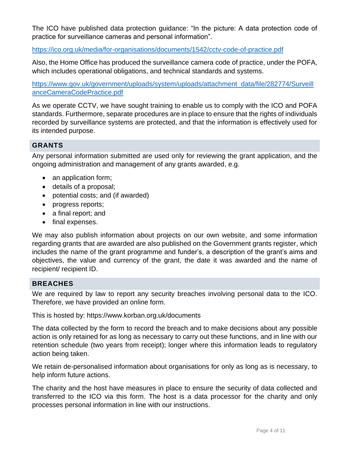The ICO have published data protection guidance: "In the picture: A data protection code of practice for surveillance cameras and personal information".

# <https://ico.org.uk/media/for-organisations/documents/1542/cctv-code-of-practice.pdf>

Also, the Home Office has produced the surveillance camera code of practice, under the POFA, which includes operational obligations, and technical standards and systems.

[https://www.gov.uk/government/uploads/system/uploads/attachment\\_data/file/282774/Surveill](https://www.gov.uk/government/uploads/system/uploads/attachment_data/file/282774/SurveillanceCameraCodePractice.pdf) [anceCameraCodePractice.pdf](https://www.gov.uk/government/uploads/system/uploads/attachment_data/file/282774/SurveillanceCameraCodePractice.pdf)

As we operate CCTV, we have sought training to enable us to comply with the ICO and POFA standards. Furthermore, separate procedures are in place to ensure that the rights of individuals recorded by surveillance systems are protected, and that the information is effectively used for its intended purpose.

# **GRANTS**

Any personal information submitted are used only for reviewing the grant application, and the ongoing administration and management of any grants awarded, e.g.

- an application form;
- details of a proposal;
- potential costs; and (if awarded)
- progress reports;
- a final report; and
- final expenses.

We may also publish information about projects on our own website, and some information regarding grants that are awarded are also published on the Government grants register, which includes the name of the grant programme and funder's, a description of the grant's aims and objectives, the value and currency of the grant, the date it was awarded and the name of recipient/ recipient ID.

# **BREACHES**

We are required by law to report any security breaches involving personal data to the ICO. Therefore, we have provided an online form.

This is hosted by: https://www.korban.org.uk/documents

The data collected by the form to record the breach and to make decisions about any possible action is only retained for as long as necessary to carry out these functions, and in line with our retention schedule (two years from receipt); longer where this information leads to regulatory action being taken.

We retain de-personalised information about organisations for only as long as is necessary, to help inform future actions.

The charity and the host have measures in place to ensure the security of data collected and transferred to the ICO via this form. The host is a data processor for the charity and only processes personal information in line with our instructions.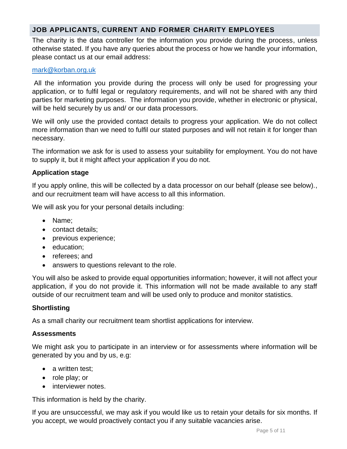# **JOB APPLICANTS, CURRENT AND FORMER CHARITY EMPLOYEES**

The charity is the data controller for the information you provide during the process, unless otherwise stated. If you have any queries about the process or how we handle your information, please contact us at our email address:

### [mark@korban.org.uk](mailto:korban.manager@outlook.com)

All the information you provide during the process will only be used for progressing your application, or to fulfil legal or regulatory requirements, and will not be shared with any third parties for marketing purposes. The information you provide, whether in electronic or physical, will be held securely by us and/ or our data processors.

We will only use the provided contact details to progress your application. We do not collect more information than we need to fulfil our stated purposes and will not retain it for longer than necessary.

The information we ask for is used to assess your suitability for employment. You do not have to supply it, but it might affect your application if you do not.

# **Application stage**

If you apply online, this will be collected by a data processor on our behalf (please see below)., and our recruitment team will have access to all this information.

We will ask you for your personal details including:

- Name;
- contact details:
- previous experience;
- education:
- referees; and
- answers to questions relevant to the role.

You will also be asked to provide equal opportunities information; however, it will not affect your application, if you do not provide it. This information will not be made available to any staff outside of our recruitment team and will be used only to produce and monitor statistics.

# **Shortlisting**

As a small charity our recruitment team shortlist applications for interview.

# **Assessments**

We might ask you to participate in an interview or for assessments where information will be generated by you and by us, e.g:

- a written test;
- role play; or
- interviewer notes.

This information is held by the charity.

If you are unsuccessful, we may ask if you would like us to retain your details for six months. If you accept, we would proactively contact you if any suitable vacancies arise.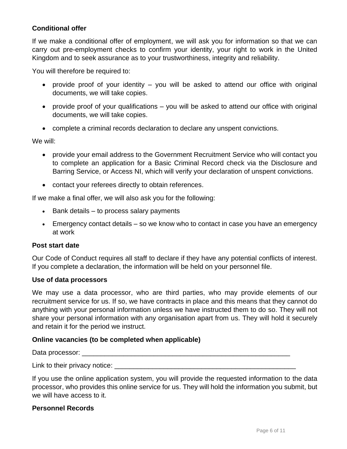# **Conditional offer**

If we make a conditional offer of employment, we will ask you for information so that we can carry out pre-employment checks to confirm your identity, your right to work in the United Kingdom and to seek assurance as to your trustworthiness, integrity and reliability.

You will therefore be required to:

- provide proof of your identity you will be asked to attend our office with original documents, we will take copies.
- provide proof of your qualifications you will be asked to attend our office with original documents, we will take copies.
- complete a criminal records declaration to declare any unspent convictions.

We will:

- provide your email address to the Government Recruitment Service who will contact you to complete an application for a Basic Criminal Record check via the Disclosure and Barring Service, or Access NI, which will verify your declaration of unspent convictions.
- contact your referees directly to obtain references.

If we make a final offer, we will also ask you for the following:

- Bank details to process salary payments
- Emergency contact details so we know who to contact in case you have an emergency at work

#### **Post start date**

Our Code of Conduct requires all staff to declare if they have any potential conflicts of interest. If you complete a declaration, the information will be held on your personnel file.

#### **Use of data processors**

We may use a data processor, who are third parties, who may provide elements of our recruitment service for us. If so, we have contracts in place and this means that they cannot do anything with your personal information unless we have instructed them to do so. They will not share your personal information with any organisation apart from us. They will hold it securely and retain it for the period we instruct.

#### **Online vacancies (to be completed when applicable)**

Data processor: \_\_\_\_\_\_\_\_\_\_\_\_\_\_\_\_\_\_\_\_\_\_\_\_\_\_\_\_\_\_\_\_\_\_\_\_\_\_\_\_\_\_\_\_\_\_\_\_\_\_\_\_\_\_\_

Link to their privacy notice:  $\Box$ 

If you use the online application system, you will provide the requested information to the data processor, who provides this online service for us. They will hold the information you submit, but we will have access to it.

#### **Personnel Records**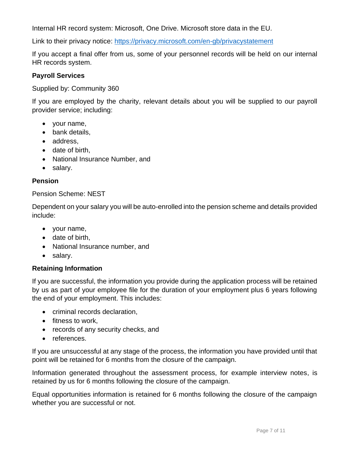Internal HR record system: Microsoft, One Drive. Microsoft store data in the EU.

Link to their privacy notice:<https://privacy.microsoft.com/en-gb/privacystatement>

If you accept a final offer from us, some of your personnel records will be held on our internal HR records system.

### **Payroll Services**

Supplied by: Community 360

If you are employed by the charity, relevant details about you will be supplied to our payroll provider service; including:

- your name,
- bank details,
- address,
- date of birth,
- National Insurance Number, and
- salary.

### **Pension**

#### Pension Scheme: NEST

Dependent on your salary you will be auto-enrolled into the pension scheme and details provided include:

- your name,
- date of birth,
- National Insurance number, and
- salary.

#### **Retaining Information**

If you are successful, the information you provide during the application process will be retained by us as part of your employee file for the duration of your employment plus 6 years following the end of your employment. This includes:

- criminal records declaration,
- fitness to work,
- records of any security checks, and
- references.

If you are unsuccessful at any stage of the process, the information you have provided until that point will be retained for 6 months from the closure of the campaign.

Information generated throughout the assessment process, for example interview notes, is retained by us for 6 months following the closure of the campaign.

Equal opportunities information is retained for 6 months following the closure of the campaign whether you are successful or not.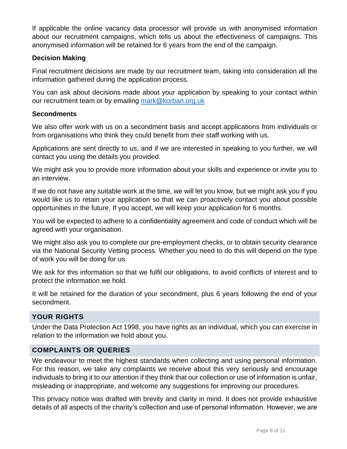If applicable the online vacancy data processor will provide us with anonymised information about our recruitment campaigns, which tells us about the effectiveness of campaigns. This anonymised information will be retained for 6 years from the end of the campaign.

# **Decision Making**

Final recruitment decisions are made by our recruitment team, taking into consideration all the information gathered during the application process.

You can ask about decisions made about your application by speaking to your contact within our recruitment team or by emailing [mark@korban.org.uk](mailto:mark@korban.org.uk)

# **Secondments**

We also offer work with us on a secondment basis and accept applications from individuals or from organisations who think they could benefit from their staff working with us.

Applications are sent directly to us, and if we are interested in speaking to you further, we will contact you using the details you provided.

We might ask you to provide more information about your skills and experience or invite you to an interview.

If we do not have any suitable work at the time, we will let you know, but we might ask you if you would like us to retain your application so that we can proactively contact you about possible opportunities in the future. If you accept, we will keep your application for 6 months.

You will be expected to adhere to a confidentiality agreement and code of conduct which will be agreed with your organisation.

We might also ask you to complete our pre-employment checks, or to obtain security clearance via the National Security Vetting process. Whether you need to do this will depend on the type of work you will be doing for us.

We ask for this information so that we fulfil our obligations, to avoid conflicts of interest and to protect the information we hold.

It will be retained for the duration of your secondment, plus 6 years following the end of your secondment.

# **YOUR RIGHTS**

Under the Data Protection Act 1998, you have rights as an individual, which you can exercise in relation to the information we hold about you.

# **COMPLAINTS OR QUERIES**

We endeavour to meet the highest standards when collecting and using personal information. For this reason, we take any complaints we receive about this very seriously and encourage individuals to bring it to our attention if they think that our collection or use of information is unfair, misleading or inappropriate, and welcome any suggestions for improving our procedures.

This privacy notice was drafted with brevity and clarity in mind. It does not provide exhaustive details of all aspects of the charity's collection and use of personal information. However, we are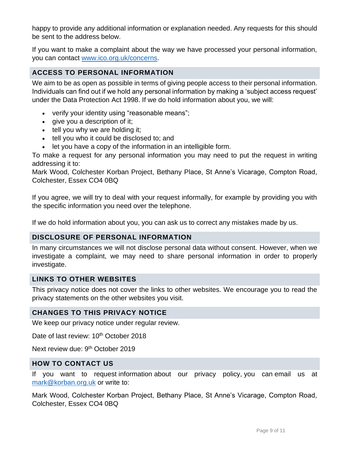happy to provide any additional information or explanation needed. Any requests for this should be sent to the address below.

If you want to make a complaint about the way we have processed your personal information, you can contact [www.ico.org.uk/concerns.](http://www.ico.org.uk/concerns)

# **ACCESS TO PERSONAL INFORMATION**

We aim to be as open as possible in terms of giving people access to their personal information. Individuals can find out if we hold any personal information by making a 'subject access request' under the Data Protection Act 1998. If we do hold information about you, we will:

- verify your identity using "reasonable means";
- give you a description of it;
- tell you why we are holding it;
- tell you who it could be disclosed to; and
- let you have a copy of the information in an intelligible form.

To make a request for any personal information you may need to put the request in writing addressing it to:

Mark Wood, Colchester Korban Project, Bethany Place, St Anne's Vicarage, Compton Road, Colchester, Essex CO4 0BQ

If you agree, we will try to deal with your request informally, for example by providing you with the specific information you need over the telephone.

If we do hold information about you, you can ask us to correct any mistakes made by us.

# **DISCLOSURE OF PERSONAL INFORMATION**

In many circumstances we will not disclose personal data without consent. However, when we investigate a complaint, we may need to share personal information in order to properly investigate.

# **LINKS TO OTHER WEBSITES**

This privacy notice does not cover the links to other websites. We encourage you to read the privacy statements on the other websites you visit.

# **CHANGES TO THIS PRIVACY NOTICE**

We keep our privacy notice under regular review.

Date of last review: 10<sup>th</sup> October 2018

Next review due: 9<sup>th</sup> October 2019

# **HOW TO CONTACT US**

If you want to request information about our privacy policy, you can email us at [mark@korban.org.uk](mailto:mark@korban.org.uk) or write to:

Mark Wood, Colchester Korban Project, Bethany Place, St Anne's Vicarage, Compton Road, Colchester, Essex CO4 0BQ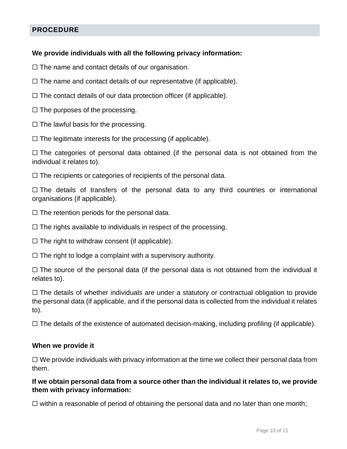# **PROCEDURE**

### **We provide individuals with all the following privacy information:**

 $\Box$  The name and contact details of our organisation.

- $\Box$  The name and contact details of our representative (if applicable).
- $\Box$  The contact details of our data protection officer (if applicable).
- $\Box$  The purposes of the processing.
- $\Box$  The lawful basis for the processing.

 $\Box$  The legitimate interests for the processing (if applicable).

 $\Box$  The categories of personal data obtained (if the personal data is not obtained from the individual it relates to).

 $\Box$  The recipients or categories of recipients of the personal data.

□ The details of transfers of the personal data to any third countries or international organisations (if applicable).

- $\Box$  The retention periods for the personal data.
- □ The rights available to individuals in respect of the processing.
- $\Box$  The right to withdraw consent (if applicable).
- $\Box$  The right to lodge a complaint with a supervisory authority.

 $\Box$  The source of the personal data (if the personal data is not obtained from the individual it relates to).

 $\Box$  The details of whether individuals are under a statutory or contractual obligation to provide the personal data (if applicable, and if the personal data is collected from the individual it relates to).

 $\Box$  The details of the existence of automated decision-making, including profiling (if applicable).

#### **When we provide it**

 $\Box$  We provide individuals with privacy information at the time we collect their personal data from them.

**If we obtain personal data from a source other than the individual it relates to, we provide them with privacy information:**

 $\Box$  within a reasonable of period of obtaining the personal data and no later than one month;